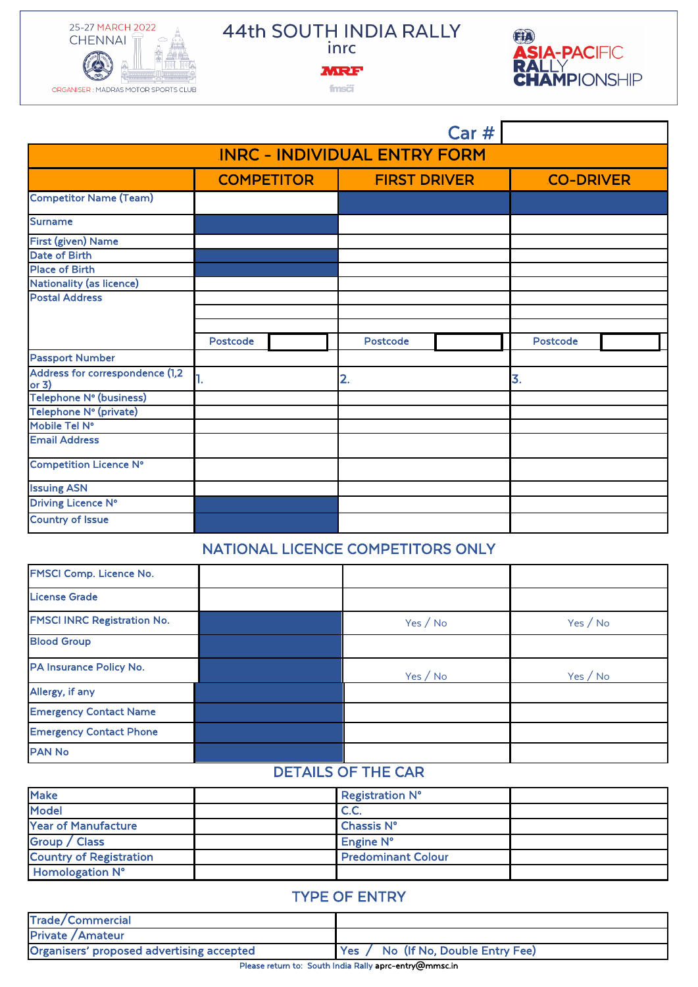

### 44th SOUTH INDIA RALLY inrc

**MRF** 



fmsői

| Car#                                       |                   |  |                     |  |                  |  |  |  |
|--------------------------------------------|-------------------|--|---------------------|--|------------------|--|--|--|
| <b>INRC - INDIVIDUAL ENTRY FORM</b>        |                   |  |                     |  |                  |  |  |  |
|                                            | <b>COMPETITOR</b> |  | <b>FIRST DRIVER</b> |  | <b>CO-DRIVER</b> |  |  |  |
| <b>Competitor Name (Team)</b>              |                   |  |                     |  |                  |  |  |  |
| <b>Surname</b>                             |                   |  |                     |  |                  |  |  |  |
| First (given) Name                         |                   |  |                     |  |                  |  |  |  |
| <b>Date of Birth</b>                       |                   |  |                     |  |                  |  |  |  |
| <b>Place of Birth</b>                      |                   |  |                     |  |                  |  |  |  |
| <b>Nationality (as licence)</b>            |                   |  |                     |  |                  |  |  |  |
| <b>Postal Address</b>                      |                   |  |                     |  |                  |  |  |  |
|                                            |                   |  |                     |  |                  |  |  |  |
|                                            |                   |  |                     |  |                  |  |  |  |
|                                            | Postcode          |  | <b>Postcode</b>     |  | Postcode         |  |  |  |
| <b>Passport Number</b>                     |                   |  |                     |  |                  |  |  |  |
| Address for correspondence (1,2<br>or $3)$ | 1.                |  | $\overline{2}$ .    |  | 3.               |  |  |  |
| Telephone Nº (business)                    |                   |  |                     |  |                  |  |  |  |
| Telephone Nº (private)                     |                   |  |                     |  |                  |  |  |  |
| Mobile Tel Nº                              |                   |  |                     |  |                  |  |  |  |
| <b>Email Address</b>                       |                   |  |                     |  |                  |  |  |  |
| <b>Competition Licence N°</b>              |                   |  |                     |  |                  |  |  |  |
| <b>Issuing ASN</b>                         |                   |  |                     |  |                  |  |  |  |
| Driving Licence N°                         |                   |  |                     |  |                  |  |  |  |
| <b>Country of Issue</b>                    |                   |  |                     |  |                  |  |  |  |

## NATIONAL LICENCE COMPETITORS ONLY

| <b>FMSCI Comp. Licence No.</b>     |            |            |
|------------------------------------|------------|------------|
| <b>License Grade</b>               |            |            |
| <b>FMSCI INRC Registration No.</b> | Yes / No   | Yes $/$ No |
| <b>Blood Group</b>                 |            |            |
| PA Insurance Policy No.            | Yes $/$ No | Yes $/$ No |
| Allergy, if any                    |            |            |
| <b>Emergency Contact Name</b>      |            |            |
| <b>Emergency Contact Phone</b>     |            |            |
| <b>PAN No</b>                      |            |            |

## DETAILS OF THE CAR

| <b>Make</b>                    | Registration N°           |  |
|--------------------------------|---------------------------|--|
| <b>Model</b>                   | C.C.                      |  |
| <b>Year of Manufacture</b>     | Chassis N°                |  |
| Group / Class                  | Engine N°                 |  |
| <b>Country of Registration</b> | <b>Predominant Colour</b> |  |
| Homologation N°                |                           |  |

## TYPE OF ENTRY

| Trade/Commercial                          |                                            |
|-------------------------------------------|--------------------------------------------|
| <b>Private / Amateur</b>                  |                                            |
| Organisers' proposed advertising accepted | No (If No, Double Entry Fee)<br><b>Yes</b> |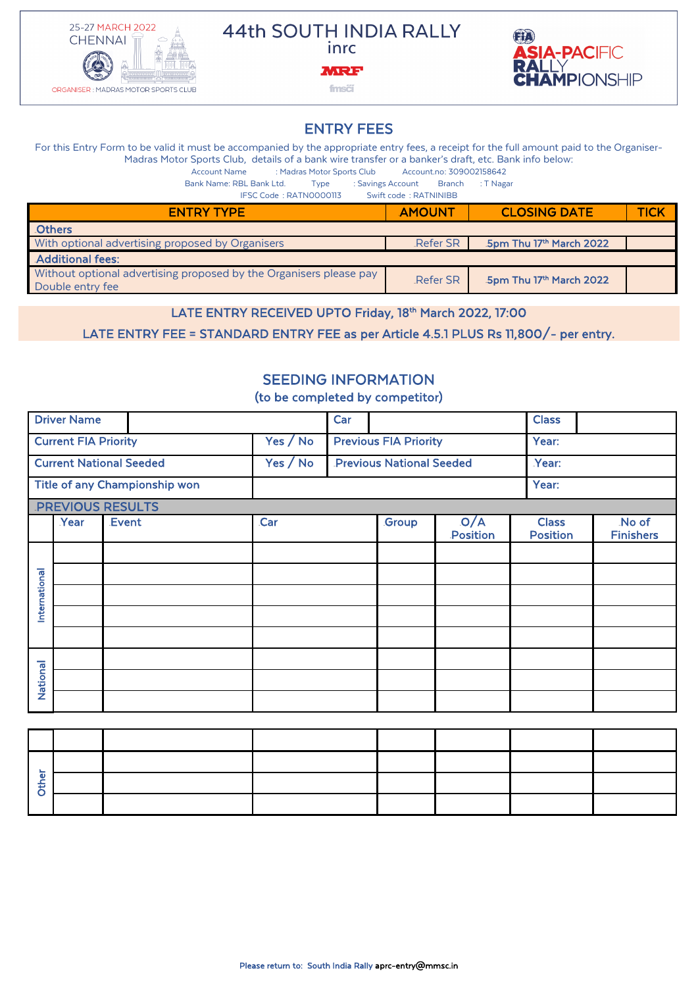

### **44th SOUTH INDIA RALLY** inrc

#### **MRF**

**fmsčí** 



## ENTRY FEES

For this Entry Form to be valid it must be accompanied by the appropriate entry fees, a receipt for the full amount paid to the Organiser-Madras Motor Sports Club, details of a bank wire transfer or a banker's draft, etc. Bank info below:

Account Name : Madras Motor Sports Club Account.no: 309002158642

Bank Name: RBL Bank Ltd. Type : Savings Account Branch : T Nagar

IFSC Code : RATN0000113 Swift code : RATNINIBB

| <b>ENTRY TYPE</b>                                                                      | <b>AMOUNT</b>   | <b>CLOSING DATE</b>      | <b>TICK</b> |
|----------------------------------------------------------------------------------------|-----------------|--------------------------|-------------|
| <b>Others</b>                                                                          |                 |                          |             |
| With optional advertising proposed by Organisers                                       | <b>Refer SR</b> | .5pm Thu 17th March 2022 |             |
| <b>Additional fees:</b>                                                                |                 |                          |             |
| Without optional advertising proposed by the Organisers please pay<br>Double entry fee | <b>Refer SR</b> | 5pm Thu 17th March 2022  |             |

LATE ENTRY RECEIVED UPTO Friday, 18th March 2022, 17:00

LATE ENTRY FEE = STANDARD ENTRY FEE as per Article 4.5.1 PLUS Rs 11,800/- per entry.

## SEEDING INFORMATION

(to be completed by competitor)

| <b>Driver Name</b>          |      | Car                            |                              | <b>Class</b>                    |       |                 |                                 |                           |  |
|-----------------------------|------|--------------------------------|------------------------------|---------------------------------|-------|-----------------|---------------------------------|---------------------------|--|
| <b>Current FIA Priority</b> |      | Yes / No                       | <b>Previous FIA Priority</b> |                                 |       | Year:           |                                 |                           |  |
|                             |      | <b>Current National Seeded</b> | Yes / No                     | <b>Previous National Seeded</b> |       |                 | Year:                           |                           |  |
|                             |      | Title of any Championship won  |                              |                                 |       |                 | Year:                           |                           |  |
|                             |      | <b>PREVIOUS RESULTS</b>        |                              |                                 |       |                 |                                 |                           |  |
|                             | Year | Event                          | Car                          |                                 | Group | O/A<br>Position | <b>Class</b><br><b>Position</b> | No of<br><b>Finishers</b> |  |
|                             |      |                                |                              |                                 |       |                 |                                 |                           |  |
|                             |      |                                |                              |                                 |       |                 |                                 |                           |  |
| International               |      |                                |                              |                                 |       |                 |                                 |                           |  |
|                             |      |                                |                              |                                 |       |                 |                                 |                           |  |
|                             |      |                                |                              |                                 |       |                 |                                 |                           |  |
|                             |      |                                |                              |                                 |       |                 |                                 |                           |  |
| National                    |      |                                |                              |                                 |       |                 |                                 |                           |  |
|                             |      |                                |                              |                                 |       |                 |                                 |                           |  |